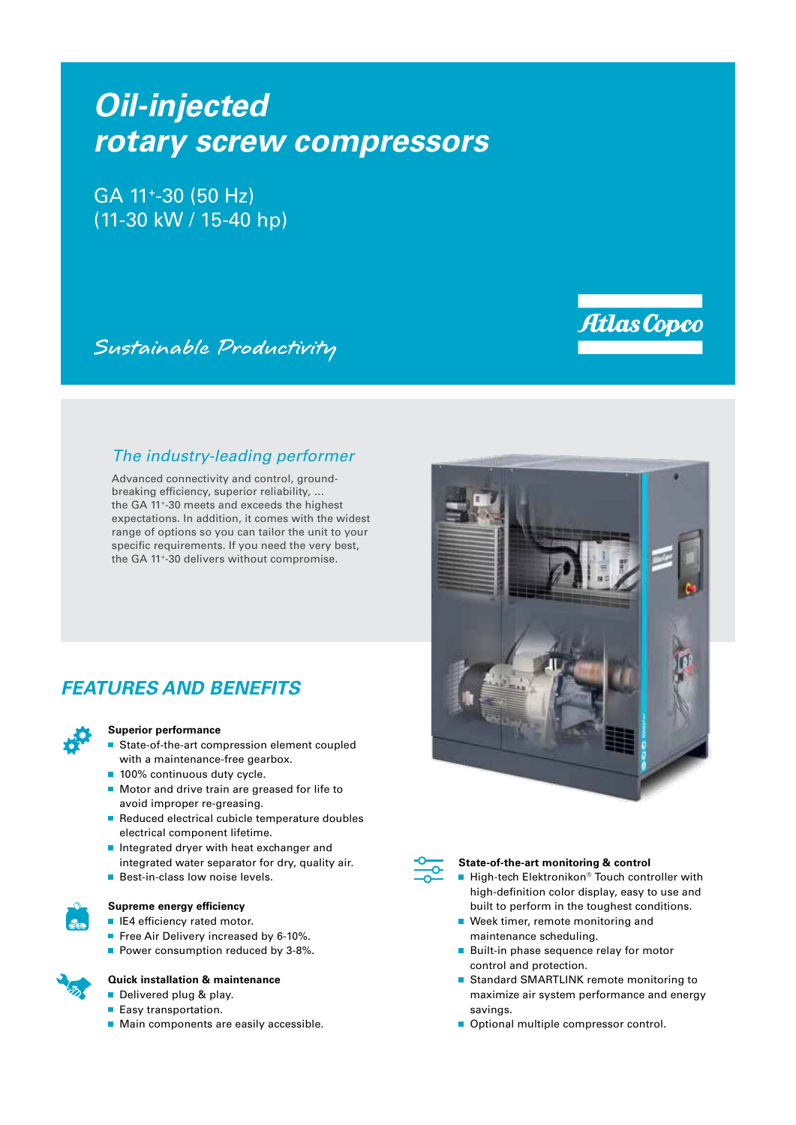# *Oil-injected rotary screw compressors*

GA 11+-30 (50 Hz) (11-30 kW / 15-40 hp)

Sustainable Productivity

### *The industry-leading performer*

Advanced connectivity and control, groundbreaking efficiency, superior reliability, … the GA 11+-30 meets and exceeds the highest expectations. In addition, it comes with the widest range of options so you can tailor the unit to your specific requirements. If you need the very best, the GA 11+-30 delivers without compromise.

# *FEATURES AND BENEFITS*



#### **Superior performance**

- State-of-the-art compression element coupled with a maintenance-free gearbox.
- 100% continuous duty cycle.
- Motor and drive train are greased for life to avoid improper re-greasing.
- Reduced electrical cubicle temperature doubles electrical component lifetime.
- Integrated dryer with heat exchanger and integrated water separator for dry, quality air.
- **Best-in-class low noise levels.**



#### **Supreme energy efficiency**

- **IE4** efficiency rated motor.
- Free Air Delivery increased by 6-10%.
- Power consumption reduced by 3-8%.

#### **Quick installation & maintenance**

- Delivered plug & play.
- Easy transportation.
- **Main components are easily accessible.**





#### **State-of-the-art monitoring & control**

- High-tech Elektronikon® Touch controller with high-definition color display, easy to use and built to perform in the toughest conditions.
- Week timer, remote monitoring and maintenance scheduling.
- **Built-in phase sequence relay for motor** control and protection.
- Standard SMARTLINK remote monitoring to maximize air system performance and energy savings.
- Optional multiple compressor control.